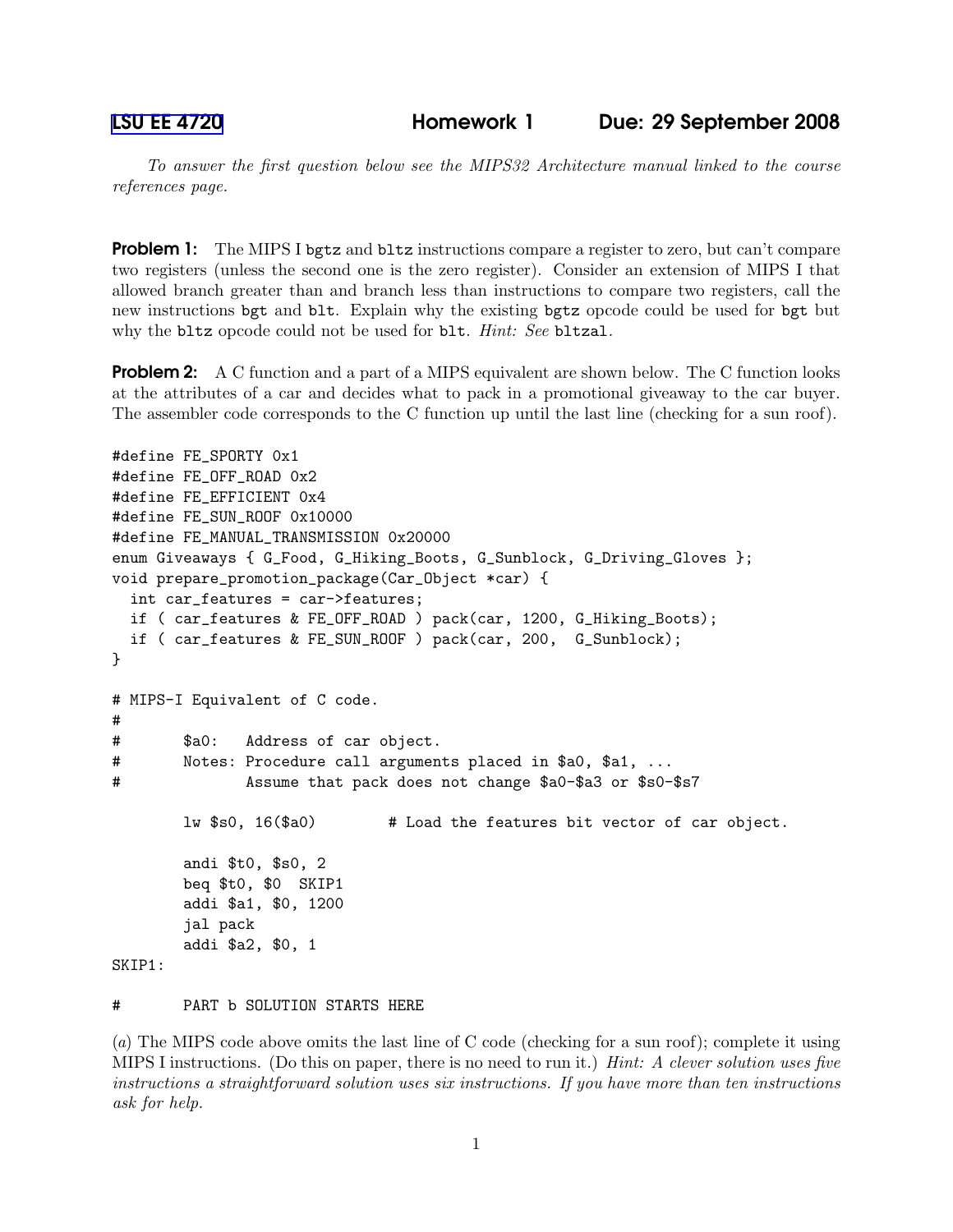To answer the first question below see the MIPS32 Architecture manual linked to the course references page.

**Problem 1:** The MIPS I bgtz and bltz instructions compare a register to zero, but can't compare two registers (unless the second one is the zero register). Consider an extension of MIPS I that allowed branch greater than and branch less than instructions to compare two registers, call the new instructions bgt and blt. Explain why the existing bgtz opcode could be used for bgt but why the bltz opcode could not be used for blt. Hint: See bltzal.

**Problem 2:** A C function and a part of a MIPS equivalent are shown below. The C function looks at the attributes of a car and decides what to pack in a promotional giveaway to the car buyer. The assembler code corresponds to the C function up until the last line (checking for a sun roof).

```
#define FE_SPORTY 0x1
#define FE_OFF_ROAD 0x2
#define FE_EFFICIENT 0x4
#define FE_SUN_ROOF 0x10000
#define FE_MANUAL_TRANSMISSION 0x20000
enum Giveaways { G_Food, G_Hiking_Boots, G_Sunblock, G_Driving_Gloves };
void prepare_promotion_package(Car_Object *car) {
  int car_features = car->features;
  if ( car_features & FE_OFF_ROAD ) pack(car, 1200, G_Hiking_Boots);
  if ( car_features & FE_SUN_ROOF ) pack(car, 200, G_Sunblock);
}
# MIPS-I Equivalent of C code.
#
# $a0: Address of car object.
# Notes: Procedure call arguments placed in $a0, $a1, ...
# Assume that pack does not change $a0-$a3 or $s0-$s7
       lw $s0, 16($a0) # Load the features bit vector of car object.
       andi $t0, $s0, 2
       beq $t0, $0 SKIP1
       addi $a1, $0, 1200
        jal pack
       addi $a2, $0, 1
SKIP1:
```
# PART b SOLUTION STARTS HERE

(a) The MIPS code above omits the last line of C code (checking for a sun roof); complete it using MIPS I instructions. (Do this on paper, there is no need to run it.) Hint: A clever solution uses five instructions a straightforward solution uses six instructions. If you have more than ten instructions ask for help.